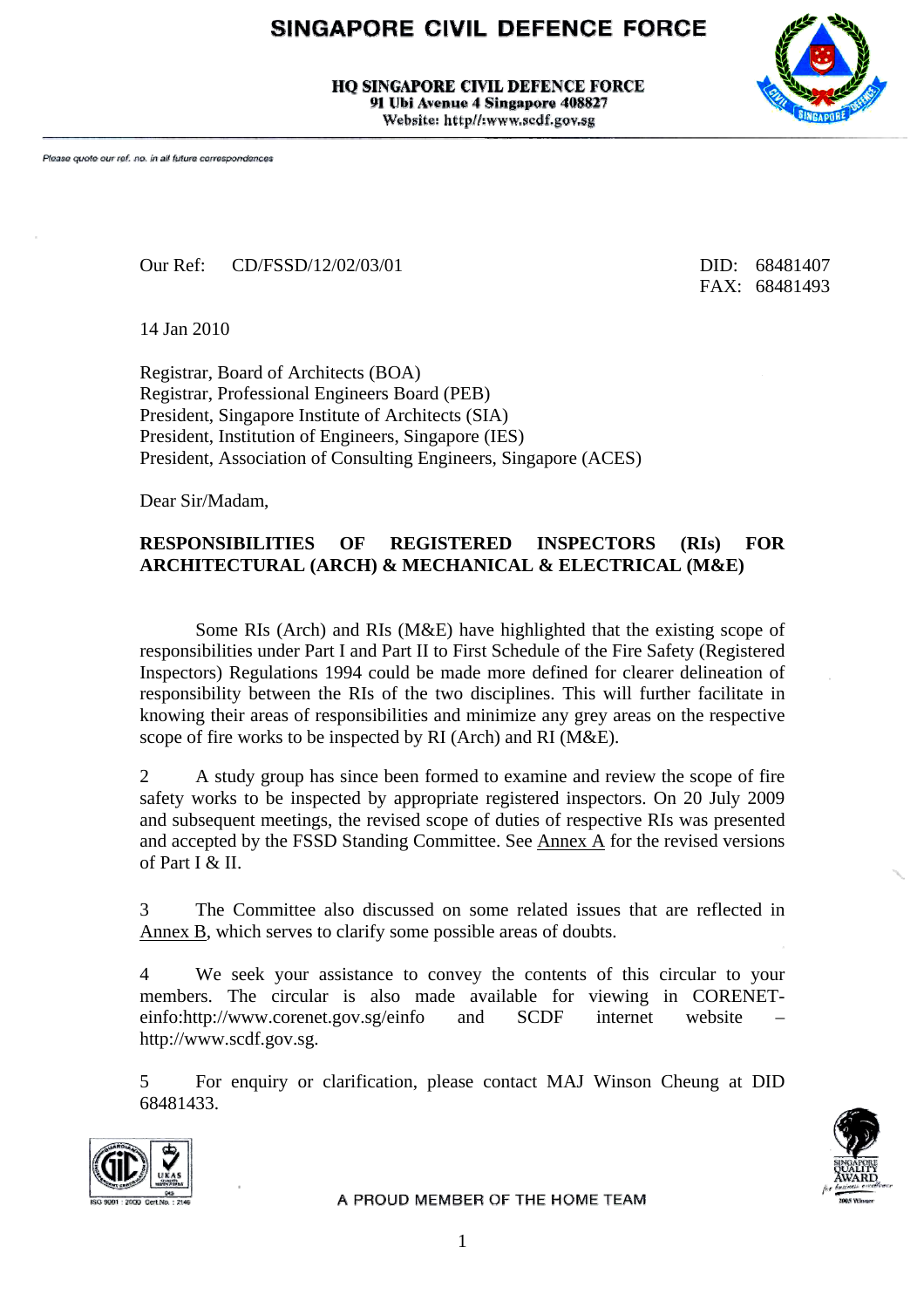# SINGAPORE CIVIL DEFENCE FORCE

**HO SINGAPORE CIVIL DEFENCE FORCE** 91 Ubi Avenue 4 Singapore 408827 Website: http//:www.scdf.gov.sg



Our Ref: CD/FSSD/12/02/03/01 DID: 68481407

FAX: 68481493

14 Jan 2010

Registrar, Board of Architects (BOA) Registrar, Professional Engineers Board (PEB) President, Singapore Institute of Architects (SIA) President, Institution of Engineers, Singapore (IES) President, Association of Consulting Engineers, Singapore (ACES)

Dear Sir/Madam,

#### **RESPONSIBILITIES OF REGISTERED INSPECTORS (RIs) FOR ARCHITECTURAL (ARCH) & MECHANICAL & ELECTRICAL (M&E)**

Some RIs (Arch) and RIs (M&E) have highlighted that the existing scope of responsibilities under Part I and Part II to First Schedule of the Fire Safety (Registered Inspectors) Regulations 1994 could be made more defined for clearer delineation of responsibility between the RIs of the two disciplines. This will further facilitate in knowing their areas of responsibilities and minimize any grey areas on the respective scope of fire works to be inspected by RI (Arch) and RI (M&E).

2 A study group has since been formed to examine and review the scope of fire safety works to be inspected by appropriate registered inspectors. On 20 July 2009 and subsequent meetings, the revised scope of duties of respective RIs was presented and accepted by the FSSD Standing Committee. See Annex A for the revised versions of Part I  $&$  II.

3 The Committee also discussed on some related issues that are reflected in Annex B, which serves to clarify some possible areas of doubts.

4 We seek your assistance to convey the contents of this circular to your members. The circular is also made available for viewing in CORENETeinfo:http://www.corenet.gov.sg/einfo and SCDF internet website – http://www.scdf.gov.sg.

5 For enquiry or clarification, please contact MAJ Winson Cheung at DID 68481433.



A PROUD MEMBER OF THE HOME TEAM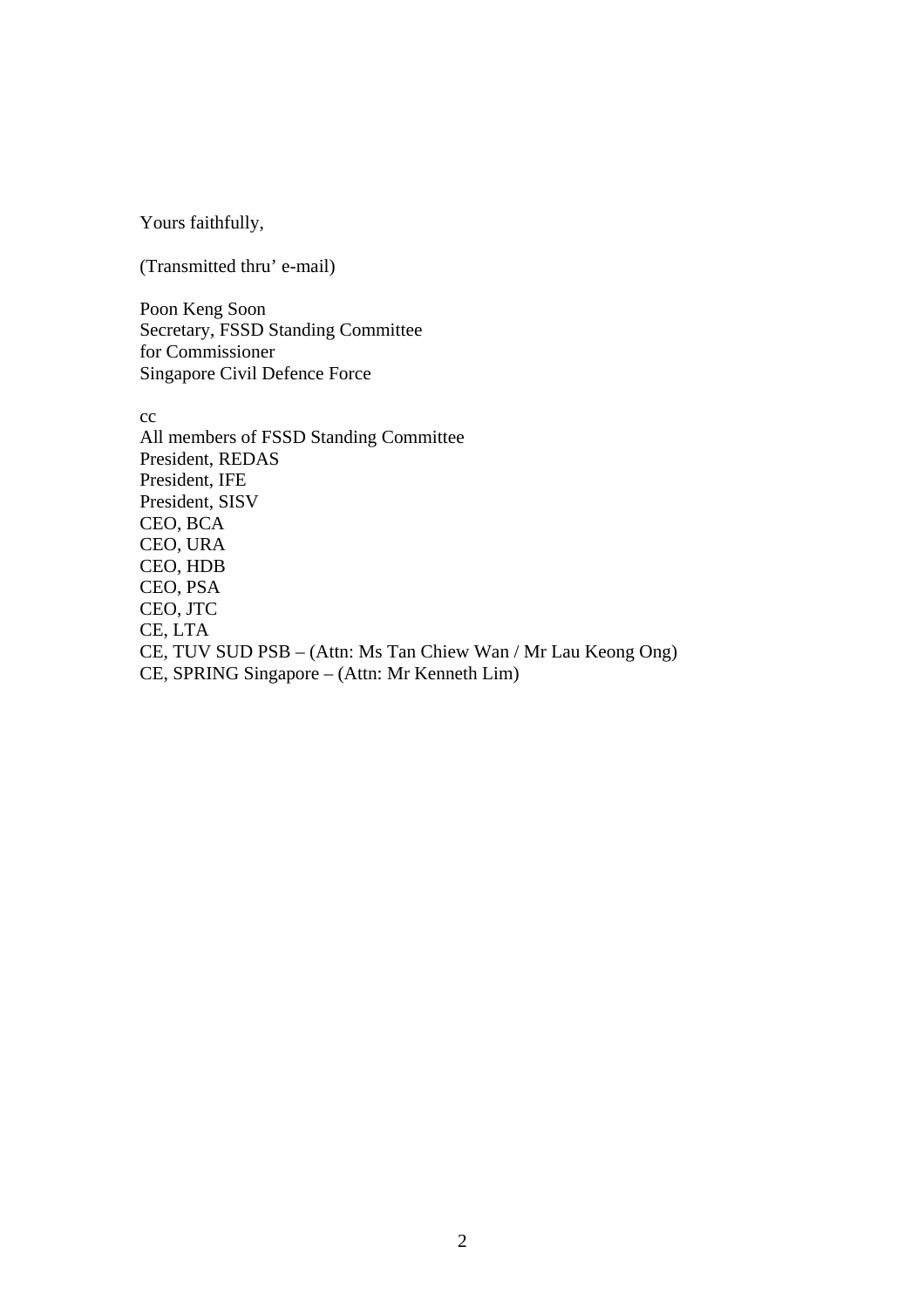Yours faithfully,

(Transmitted thru' e-mail)

Poon Keng Soon Secretary, FSSD Standing Committee for Commissioner Singapore Civil Defence Force

cc All members of FSSD Standing Committee President, REDAS President, IFE President, SISV CEO, BCA CEO, URA CEO, HDB CEO, PSA CEO, JTC CE, LTA CE, TUV SUD PSB – (Attn: Ms Tan Chiew Wan / Mr Lau Keong Ong) CE, SPRING Singapore – (Attn: Mr Kenneth Lim)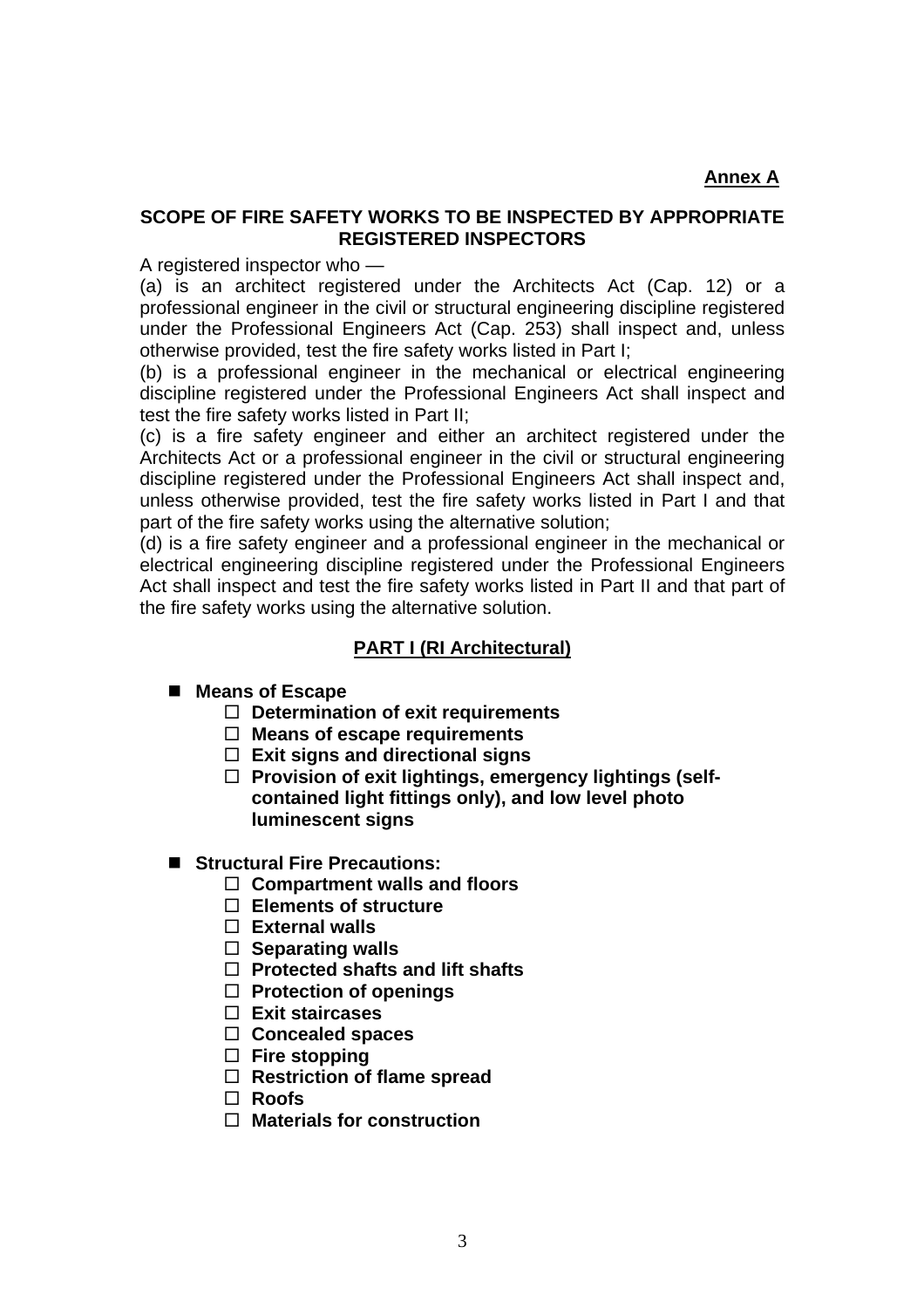## **SCOPE OF FIRE SAFETY WORKS TO BE INSPECTED BY APPROPRIATE REGISTERED INSPECTORS**

A registered inspector who —

(a) is an architect registered under the Architects Act (Cap. 12) or a professional engineer in the civil or structural engineering discipline registered under the Professional Engineers Act (Cap. 253) shall inspect and, unless otherwise provided, test the fire safety works listed in Part I;

(b) is a professional engineer in the mechanical or electrical engineering discipline registered under the Professional Engineers Act shall inspect and test the fire safety works listed in Part II;

(c) is a fire safety engineer and either an architect registered under the Architects Act or a professional engineer in the civil or structural engineering discipline registered under the Professional Engineers Act shall inspect and, unless otherwise provided, test the fire safety works listed in Part I and that part of the fire safety works using the alternative solution;

(d) is a fire safety engineer and a professional engineer in the mechanical or electrical engineering discipline registered under the Professional Engineers Act shall inspect and test the fire safety works listed in Part II and that part of the fire safety works using the alternative solution.

#### **PART I (RI Architectural)**

#### ■ Means of Escape

- **Determination of exit requirements**
- **Means of escape requirements**
- **Exit signs and directional signs**
- □ Provision of exit lightings, emergency lightings (self**contained light fittings only), and low level photo luminescent signs**
- Structural Fire Precautions:
	- **Compartment walls and floors**
	- **Elements of structure**
	- **External walls**
	- **Separating walls**
	- **Protected shafts and lift shafts**
	- **Protection of openings**
	- **Exit staircases**
	- **Concealed spaces**
	- **Fire stopping**
	- **Restriction of flame spread**
	- **Roofs**
	- **Materials for construction**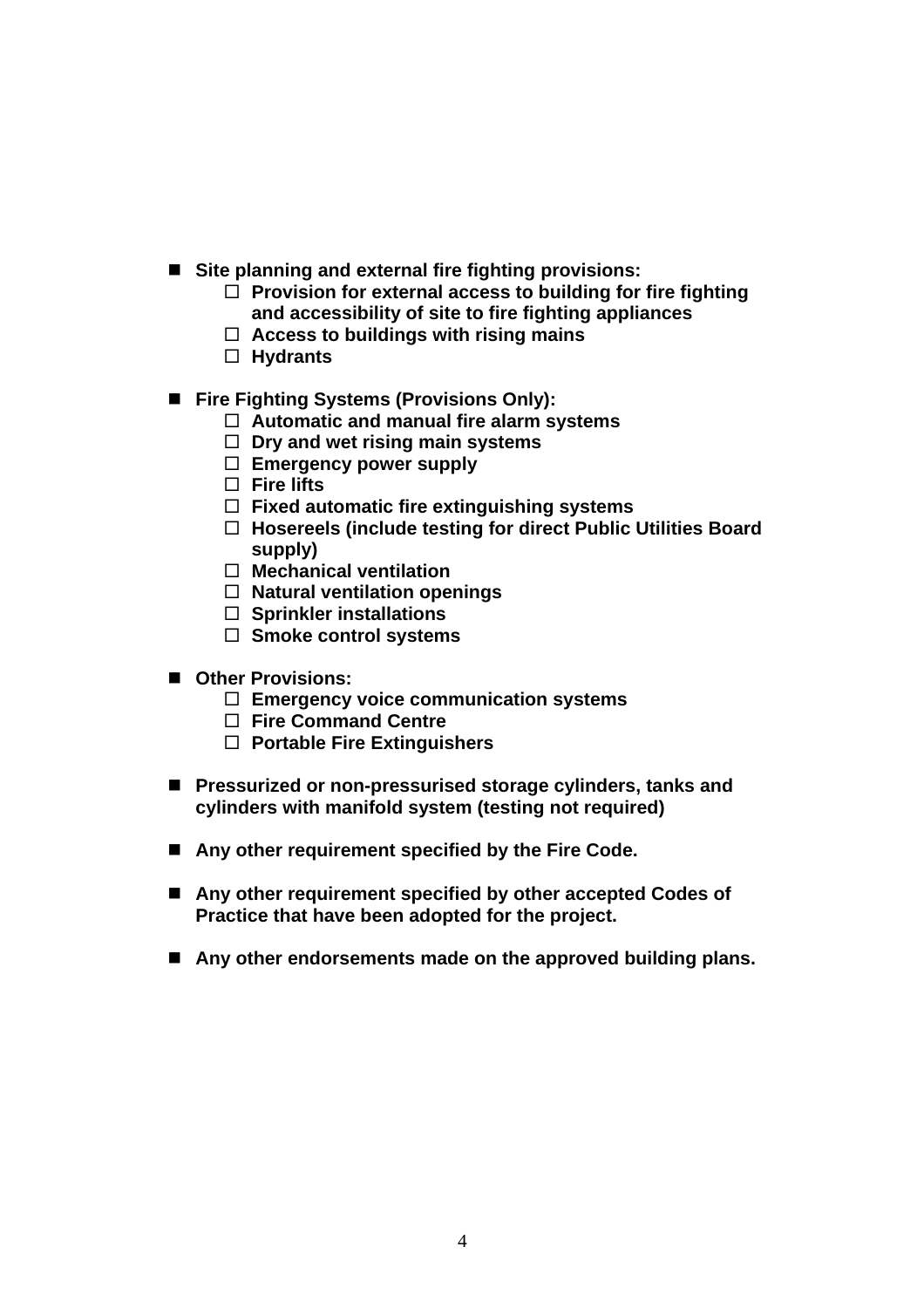- Site planning and external fire fighting provisions:
	- **Provision for external access to building for fire fighting and accessibility of site to fire fighting appliances**
	- **Access to buildings with rising mains**
	- **Hydrants**
- Fire Fighting Systems (Provisions Only):
	- **Automatic and manual fire alarm systems**
	- **Dry and wet rising main systems**
	- **Emergency power supply**
	- **Fire lifts**
	- **Fixed automatic fire extinguishing systems**
	- **Hosereels (include testing for direct Public Utilities Board supply)**
	- **Mechanical ventilation**
	- **Natural ventilation openings**
	- **Sprinkler installations**
	- **Smoke control systems**
- **Other Provisions:** 
	- **Emergency voice communication systems**
	- **Fire Command Centre**
	- **Portable Fire Extinguishers**
- Pressurized or non-pressurised storage cylinders, tanks and **cylinders with manifold system (testing not required)**
- Any other requirement specified by the Fire Code.
- Any other requirement specified by other accepted Codes of **Practice that have been adopted for the project.**
- Any other endorsements made on the approved building plans.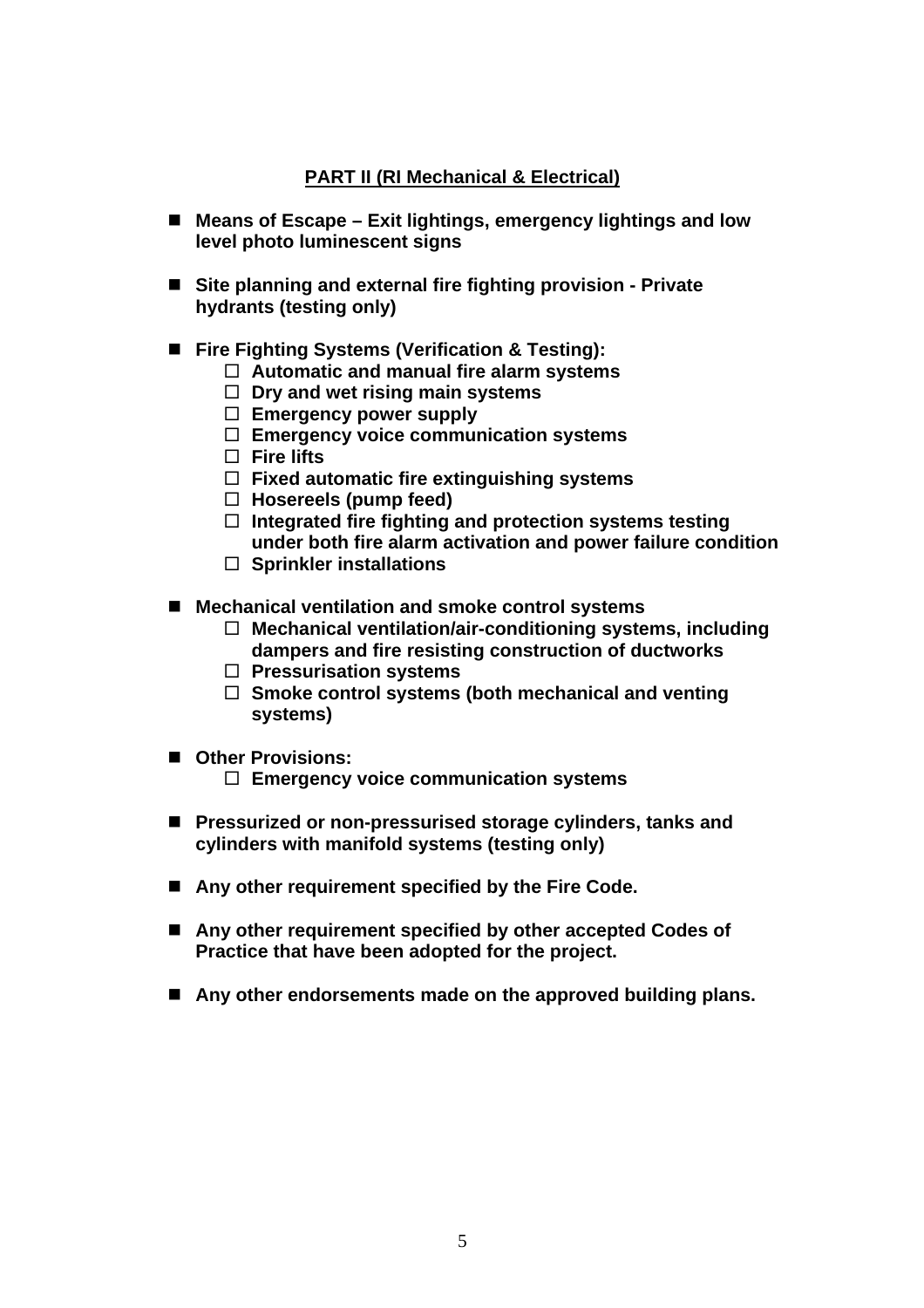## **PART II (RI Mechanical & Electrical)**

- Means of Escape Exit lightings, emergency lightings and low **level photo luminescent signs**
- Site planning and external fire fighting provision Private **hydrants (testing only)**
- Fire Fighting Systems (Verification & Testing):
	- **Automatic and manual fire alarm systems**
	- **Dry and wet rising main systems**
	- **Emergency power supply**
	- **Emergency voice communication systems**
	- **Fire lifts**
	- **Fixed automatic fire extinguishing systems**
	- **Hosereels (pump feed)**
	- **Integrated fire fighting and protection systems testing under both fire alarm activation and power failure condition**
	- **Sprinkler installations**
- Mechanical ventilation and smoke control systems
	- **Mechanical ventilation/air-conditioning systems, including dampers and fire resisting construction of ductworks**
	- **Pressurisation systems**
	- **Smoke control systems (both mechanical and venting systems)**
- **Other Provisions:** 
	- **Emergency voice communication systems**
- Pressurized or non-pressurised storage cylinders, tanks and **cylinders with manifold systems (testing only)**
- Any other requirement specified by the Fire Code.
- Any other requirement specified by other accepted Codes of **Practice that have been adopted for the project.**
- Any other endorsements made on the approved building plans.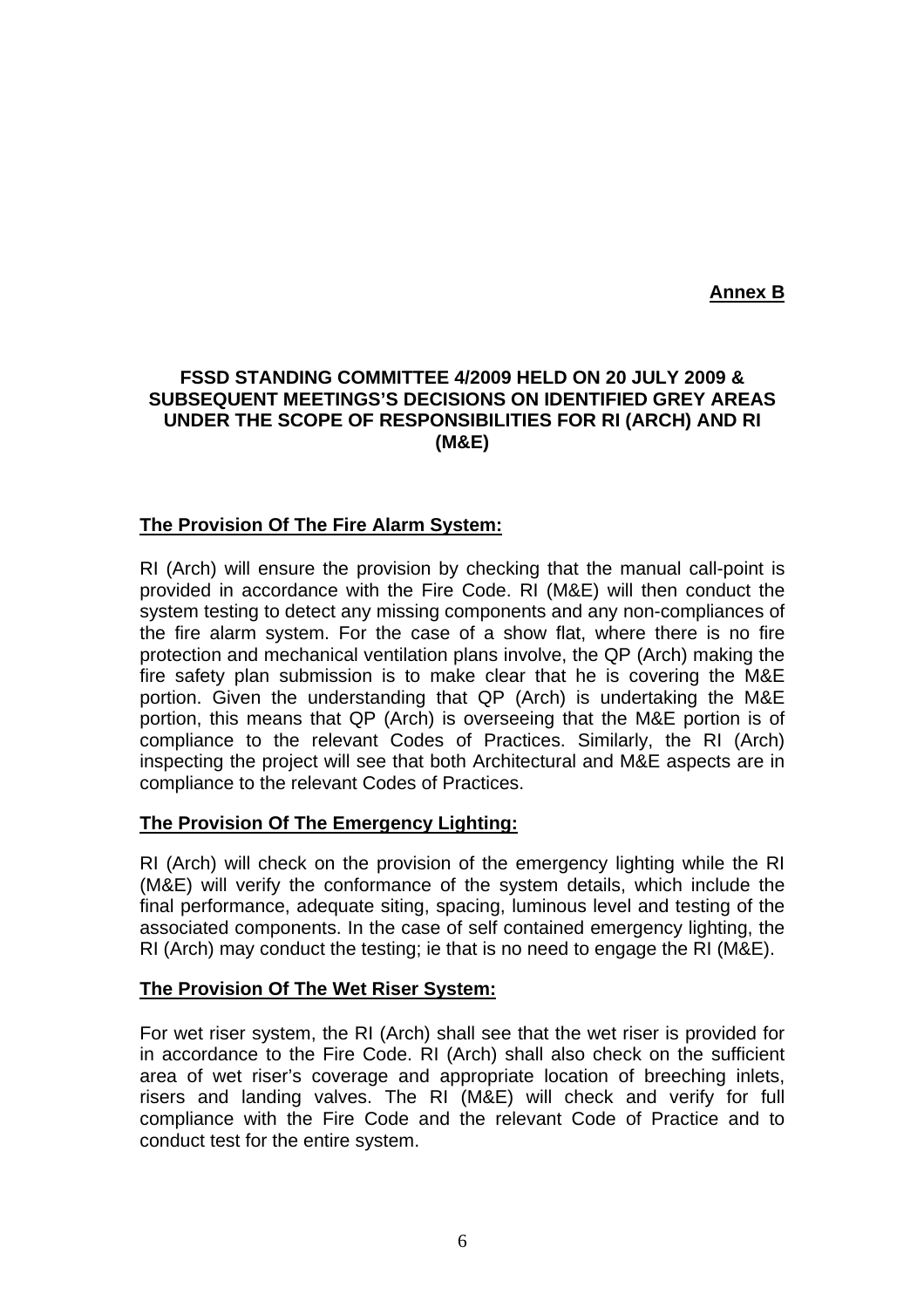**Annex B**

## **FSSD STANDING COMMITTEE 4/2009 HELD ON 20 JULY 2009 & SUBSEQUENT MEETINGS'S DECISIONS ON IDENTIFIED GREY AREAS UNDER THE SCOPE OF RESPONSIBILITIES FOR RI (ARCH) AND RI (M&E)**

## **The Provision Of The Fire Alarm System:**

RI (Arch) will ensure the provision by checking that the manual call-point is provided in accordance with the Fire Code. RI (M&E) will then conduct the system testing to detect any missing components and any non-compliances of the fire alarm system. For the case of a show flat, where there is no fire protection and mechanical ventilation plans involve, the QP (Arch) making the fire safety plan submission is to make clear that he is covering the M&E portion. Given the understanding that QP (Arch) is undertaking the M&E portion, this means that QP (Arch) is overseeing that the M&E portion is of compliance to the relevant Codes of Practices. Similarly, the RI (Arch) inspecting the project will see that both Architectural and M&E aspects are in compliance to the relevant Codes of Practices.

#### **The Provision Of The Emergency Lighting:**

RI (Arch) will check on the provision of the emergency lighting while the RI (M&E) will verify the conformance of the system details, which include the final performance, adequate siting, spacing, luminous level and testing of the associated components. In the case of self contained emergency lighting, the RI (Arch) may conduct the testing; ie that is no need to engage the RI (M&E).

#### **The Provision Of The Wet Riser System:**

For wet riser system, the RI (Arch) shall see that the wet riser is provided for in accordance to the Fire Code. RI (Arch) shall also check on the sufficient area of wet riser's coverage and appropriate location of breeching inlets, risers and landing valves. The RI (M&E) will check and verify for full compliance with the Fire Code and the relevant Code of Practice and to conduct test for the entire system.